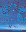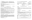# *1st Sunday of Advent - UM Student Day*

*Liberty Pole UMC Worship Service-Sunday, 9:00 A.M. Viroqua UMC Worship Service-Sunday, 10:30 A.M.*

*Please turn off all cell phones and electronics. \*\*Please stand if you are able.*

#### **Prelude "The Angel Gabriel From Heaven Came"** Traditional Basque Carol  *(A time to prepare for worship through prayer and meditation.)*

**Welcoming Words**

 *(Please sign the attendance sheets.)*

#### **Announcements**

**\*\*Hymn of Praise "O Come, O Come, Emmanuel" UMH No. 211** Verses 1,3,5,7

**Hanging of the Greens**

#### **Lighting of first advent candle**

**READER ONE:** Every year we light candles as we prepare for the coming of Christ. More and more candles, more and more light, as we watch and wait for Jesus, The Light of the World.

**Al**l**: God of Promise, come into our darkness. Renew your hope in us, for you alone bring life out of death.**

**Reader Two**: Receive God's promise of hope from Psalm 33: The eyes of the LORD are on those who fear him, on those whose hope is in his unfailing love, to deliver them from death and keep them alive in famine.

**All: We wait in hope for the LORD; he is our help and our shield. In him our hearts rejoice, for we trust in his holy name. May your unfailing love rest upon us, O LORD, even as we put our hope in you.**

*Light the candle of hope Today we are placing the angel as a sign of hope.*

## **\*\*Opening Prayer** *(Pray in Unison)*

**Today, O God, we are united together in your presence, in the fellowship of your Son, Jesus. And though we come from many different places and come with many different needs, we know that you will pour out your blessing so that, as we leave, we may leave with the consciousness that we have met you today. For this we praise you.** *Amen.* 

### **Children's Time**

*(Children Leave for Sunday School)*

**Joys and Concerns, Pastoral Prayer, Lord's Prayer UMH No. 895**

*L: Lord, in your mercy P: Hear our prayer*

| <b>OLD TESTAMENT READING</b><br><b>NEW TESTAMENT READING</b> |              | <b>ISAIAH 9:1-7</b><br>EPHESIANS 5:8-10        | PEW BIBLE NO. 817<br>PEW BIBLE NO. 1425 |  |
|--------------------------------------------------------------|--------------|------------------------------------------------|-----------------------------------------|--|
| ** $HYMN$                                                    |              | "WHO IS HE IN YONDER STALL?"                   | UMH No. 190                             |  |
| **GOSPEL                                                     |              | <b>MATTHEW 4:12-17</b>                         | PEW BIBLE NO. 1141                      |  |
|                                                              | Ŀ            | THIS IS THE WORD OF GOD FOR THE PEOPLE OF GOD. |                                         |  |
|                                                              | $\mathbf{P}$ | THANKS BE TO GOD.                              |                                         |  |
| <b>FFERING</b>                                               |              | "WHAT IS THIS LOVELY FRAGRANCE?"               | BY: PAUL MANZ (V)                       |  |

#### **\*\*Doxology**

**Praise God from whom all blessings flow; praise Him, all creatures here below; praise Him above, ye heavenly host; praise Father, Son, and Holy Ghost.** *Amen.*

**\*\*Offertory Prayer** 

| **Closing Hymn | "PEOPLE LOOK EAST" | <b>UMH No. 202</b> |
|----------------|--------------------|--------------------|
|                |                    |                    |

**\*Benediction** 

**Know that Christ goes with you. Know the bond of fellowship you have in Christ. Know the communion of the Holy Spirit. Know that God's Word is truth. And it shall not pass away.** *Amen.*

**\*\*Benediction Response "Emmanuel, Emmanuel"** (refrain) **UMH No. 204**

**\*\* Postlude "Ye Watchers and Ye Holy Ones"** By Wilbur Held (V)

### **Viroqua & Liberty Pole UMC Bulletins and Radio Broadcast**

The Liberty Pole bulletins are given by Wayne & Barb Robson in honor of their grandchildren who are students.

The Radio Broadcast and the Viroqua bulletins are given in honor of our joint Worship Committee and their work in preparation for Advent.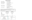# Calendar of Events

| MONDAY, DECEMBER 1ST     | 4:30 PM - Drum Practice                                     |  |  |
|--------------------------|-------------------------------------------------------------|--|--|
| TUESDAY, DECEMBER 2ND    | 7:00 PM - Council Meeting LP                                |  |  |
| WEDNESDAY, DECEMBER 3RD  | 4-5:30 PM - Confirmation Class                              |  |  |
| THURSDAY, DECEMBER 4TH   | 11:30 AM - Viroqua UMW Carpool, Noon Lunch                  |  |  |
| SUNDAY, DECEMBER 7TH     | Second Sunday of Advent                                     |  |  |
|                          | 7:00 PM Caroling of the Choirs at                           |  |  |
|                          | Good Shepherd Lutheran Church                               |  |  |
| MONDAY, DECEMBER 8TH     | 4:30 PM - Drum Practice                                     |  |  |
| WEDNESDAY, DECEMBER 10TH | 10:00 AM - Lucky at Fairhaven                               |  |  |
|                          | 5:30 PM - LP UMW Christmas Party                            |  |  |
| SATURDAY, DECEMBER 13TH  | 1:00 PM - Sunday School Christmas Program<br>Rehearsal $@V$ |  |  |
| SUNDAY, DECEMBER 14TH    | Third Sunday of Advent                                      |  |  |
|                          | Sunday School Christmas Program @ LP & V                    |  |  |

Sunday, December 7th 1-5 PM Candy Cane Christmas Tour Of Homes, begin at the Vernon County Museum. Tickets \$8.00 with proceeds benefiting the museum. Refreshments will be served.

Saturday, December 13th 9:00 AM (until sold out) Cookie Walk at Good Shepherd Lutheran Church. All profits benefit local and global missions.

|                                                                       | <b>LIBERTY POLE UMC</b> |                | <b>VIROQUA UMC</b>                                     |  |
|-----------------------------------------------------------------------|-------------------------|----------------|--------------------------------------------------------|--|
| <b>USHERS</b>                                                         | John & Rita Burckhardt  |                | Dale & Jolene Gudgeon                                  |  |
| <b>GREETERS</b>                                                       | John & Rita Burckhardt  |                | <b>Betty Ross</b>                                      |  |
| <b>LITURGIST</b>                                                      | Amy Hardy               |                | Sonja Bjerkos                                          |  |
| <b>LAST SUNDAY'S ATTENDANCE</b>                                       | 73                      |                | 70                                                     |  |
| <b>LAST SUNDAY'S OFFERING</b>                                         | \$1263.65               |                | \$1269                                                 |  |
| Viroqua & Liberty Pole United Methodist Churches                      |                         | Pastor         | Rev. Jean Waldron                                      |  |
| PO Box 127<br>Viroqua, WI 54665<br>Phone: 608-637-3551                |                         | Organists      | Holly Slack (LP)<br>Kathy Hanson (V) & Barb Casper (V) |  |
| Fax: $608-637-8193$                                                   |                         | Choir Director | Irene Fortney                                          |  |
| E-mail: info@ViroquaUMC.org<br>Pastor's Email: jeanlwaldron@gmail.com |                         | Secretary      | Lisa Marsh                                             |  |